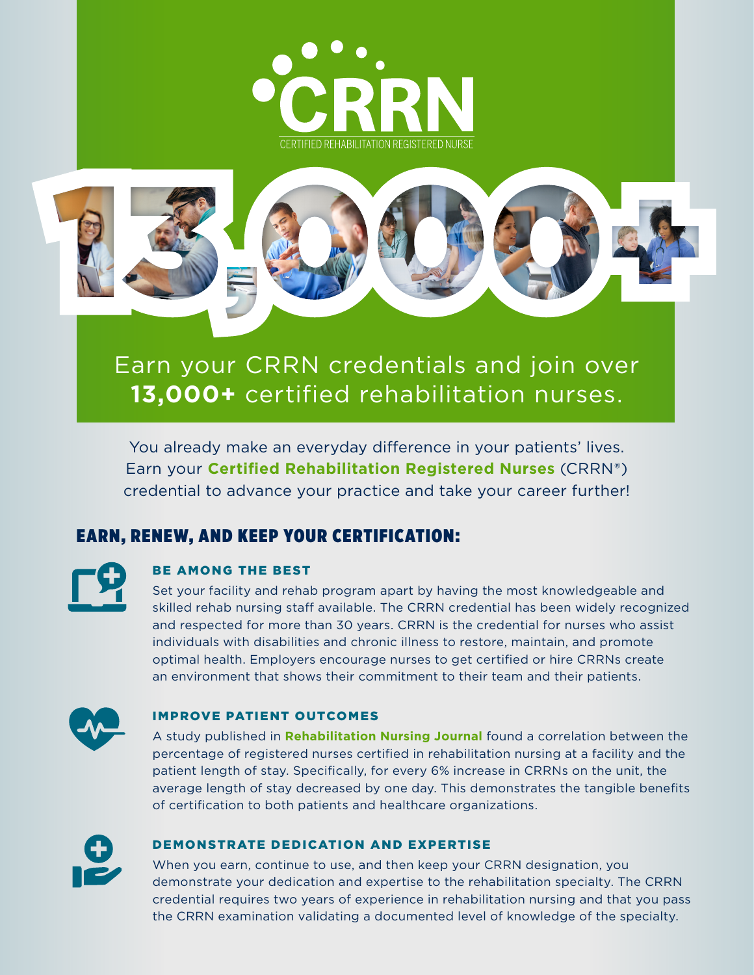



# Earn your CRRN credentials and join over **13,000+** certified rehabilitation nurses.

You already make an everyday difference in your patients' lives. Earn your **Certified Rehabilitation Registered Nurses** (CRRN®) credential to advance your practice and take your career further!

# EARN, RENEW, AND KEEP YOUR CERTIFICATION:

## BE AMONG THE BEST

Set your facility and rehab program apart by having the most knowledgeable and skilled rehab nursing staff available. The CRRN credential has been widely recognized and respected for more than 30 years. CRRN is the credential for nurses who assist individuals with disabilities and chronic illness to restore, maintain, and promote optimal health. Employers encourage nurses to get certified or hire CRRNs create an environment that shows their commitment to their team and their patients.



### IMPROVE PATIENT OUTCOMES

A study published in **Rehabilitation Nursing Journal** found a correlation between the percentage of registered nurses certified in rehabilitation nursing at a facility and the patient length of stay. Specifically, for every 6% increase in CRRNs on the unit, the average length of stay decreased by one day. This demonstrates the tangible benefits of certification to both patients and healthcare organizations.



### DEMONSTRATE DEDICATION AND EXPERTISE

When you earn, continue to use, and then keep your CRRN designation, you demonstrate your dedication and expertise to the rehabilitation specialty. The CRRN credential requires two years of experience in rehabilitation nursing and that you pass the CRRN examination validating a documented level of knowledge of the specialty.